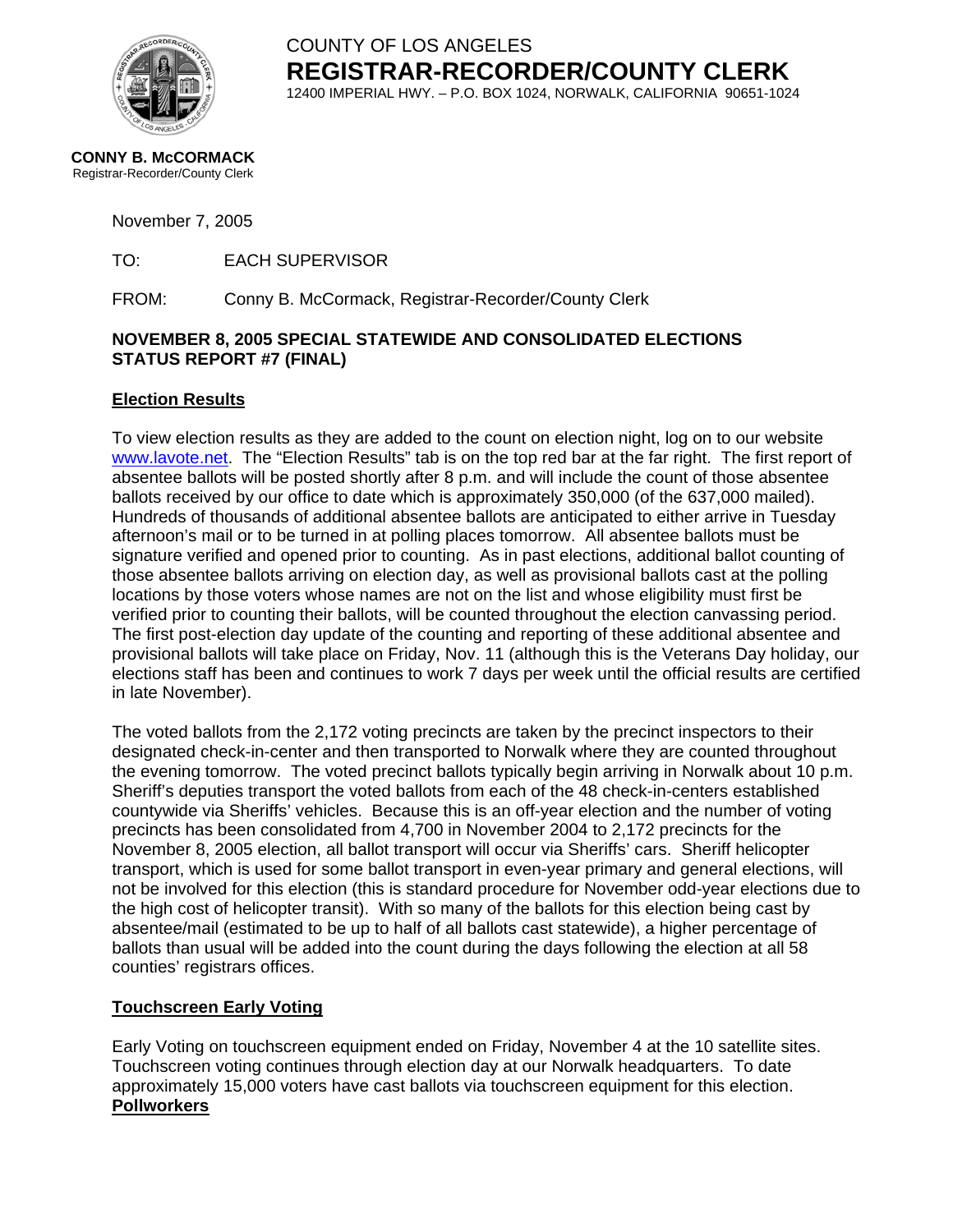

COUNTY OF LOS ANGELES **REGISTRAR-RECORDER/COUNTY CLERK** 12400 IMPERIAL HWY. – P.O. BOX 1024, NORWALK, CALIFORNIA 90651-1024

**CONNY B. McCORMACK** Registrar-Recorder/County Clerk

November 7, 2005

TO: EACH SUPERVISOR

FROM: Conny B. McCormack, Registrar-Recorder/County Clerk

#### **NOVEMBER 8, 2005 SPECIAL STATEWIDE AND CONSOLIDATED ELECTIONS STATUS REPORT #7 (FINAL)**

#### **Election Results**

To view election results as they are added to the count on election night, log on to our website [www.lavote.net.](http://www.lavote.net/) The "Election Results" tab is on the top red bar at the far right. The first report of absentee ballots will be posted shortly after 8 p.m. and will include the count of those absentee ballots received by our office to date which is approximately 350,000 (of the 637,000 mailed). Hundreds of thousands of additional absentee ballots are anticipated to either arrive in Tuesday afternoon's mail or to be turned in at polling places tomorrow. All absentee ballots must be signature verified and opened prior to counting. As in past elections, additional ballot counting of those absentee ballots arriving on election day, as well as provisional ballots cast at the polling locations by those voters whose names are not on the list and whose eligibility must first be verified prior to counting their ballots, will be counted throughout the election canvassing period. The first post-election day update of the counting and reporting of these additional absentee and provisional ballots will take place on Friday, Nov. 11 (although this is the Veterans Day holiday, our elections staff has been and continues to work 7 days per week until the official results are certified in late November).

The voted ballots from the 2,172 voting precincts are taken by the precinct inspectors to their designated check-in-center and then transported to Norwalk where they are counted throughout the evening tomorrow. The voted precinct ballots typically begin arriving in Norwalk about 10 p.m. Sheriff's deputies transport the voted ballots from each of the 48 check-in-centers established countywide via Sheriffs' vehicles. Because this is an off-year election and the number of voting precincts has been consolidated from 4,700 in November 2004 to 2,172 precincts for the November 8, 2005 election, all ballot transport will occur via Sheriffs' cars. Sheriff helicopter transport, which is used for some ballot transport in even-year primary and general elections, will not be involved for this election (this is standard procedure for November odd-year elections due to the high cost of helicopter transit). With so many of the ballots for this election being cast by absentee/mail (estimated to be up to half of all ballots cast statewide), a higher percentage of ballots than usual will be added into the count during the days following the election at all 58 counties' registrars offices.

#### **Touchscreen Early Voting**

Early Voting on touchscreen equipment ended on Friday, November 4 at the 10 satellite sites. Touchscreen voting continues through election day at our Norwalk headquarters. To date approximately 15,000 voters have cast ballots via touchscreen equipment for this election. **Pollworkers**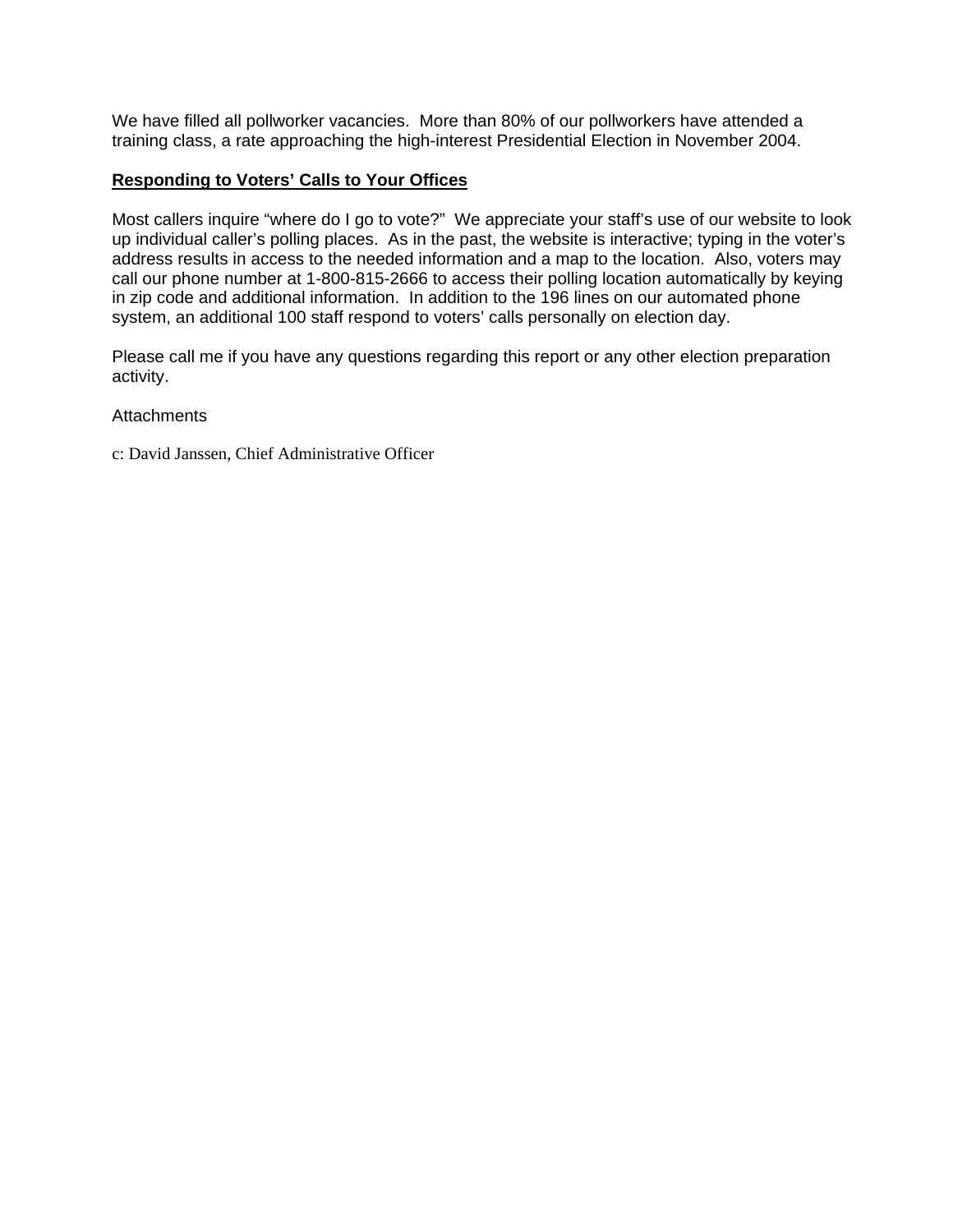We have filled all pollworker vacancies. More than 80% of our pollworkers have attended a training class, a rate approaching the high-interest Presidential Election in November 2004.

#### **Responding to Voters' Calls to Your Offices**

Most callers inquire "where do I go to vote?" We appreciate your staff's use of our website to look up individual caller's polling places. As in the past, the website is interactive; typing in the voter's address results in access to the needed information and a map to the location. Also, voters may call our phone number at 1-800-815-2666 to access their polling location automatically by keying in zip code and additional information. In addition to the 196 lines on our automated phone system, an additional 100 staff respond to voters' calls personally on election day.

Please call me if you have any questions regarding this report or any other election preparation activity.

**Attachments** 

c: David Janssen, Chief Administrative Officer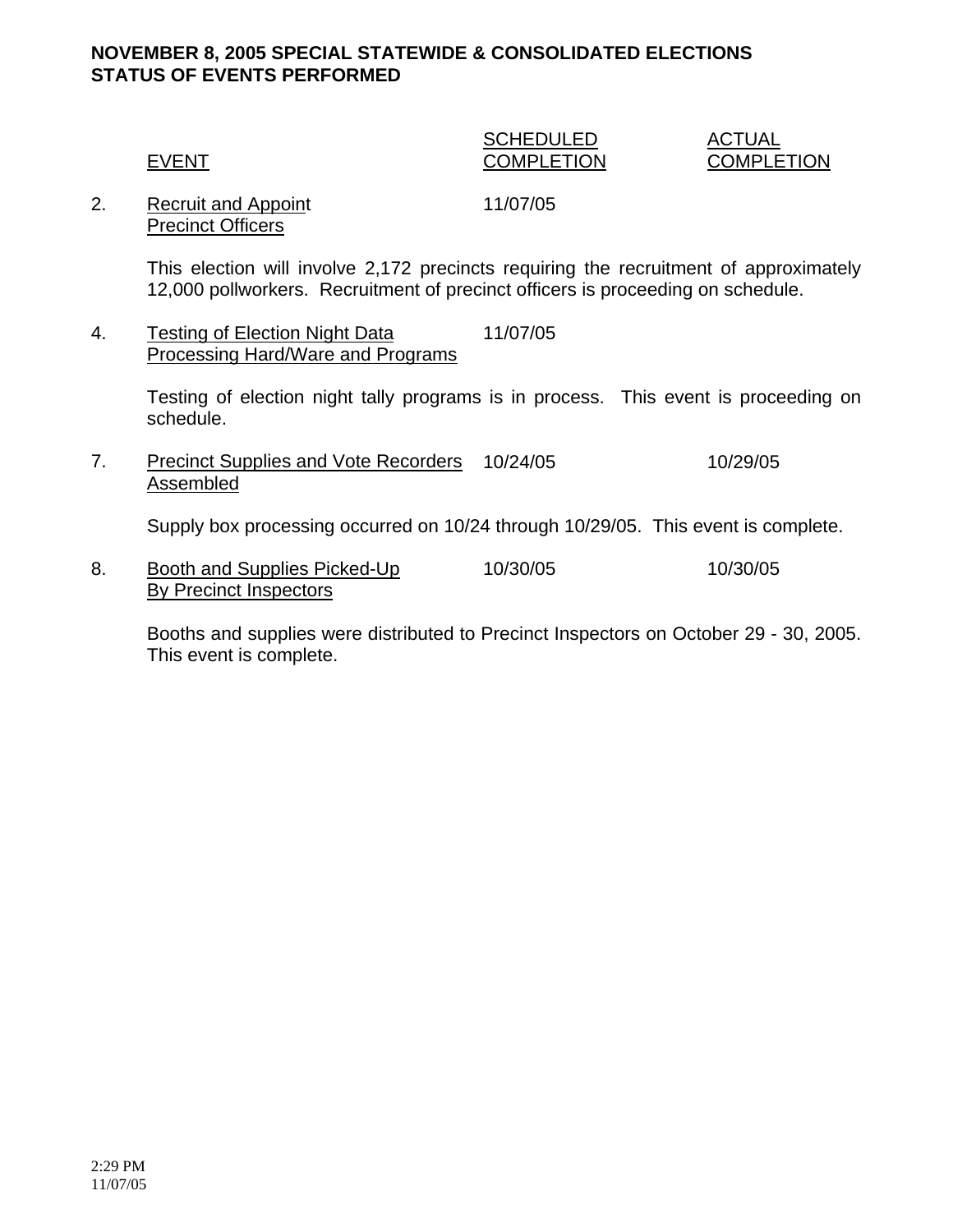## **NOVEMBER 8, 2005 SPECIAL STATEWIDE & CONSOLIDATED ELECTIONS STATUS OF EVENTS PERFORMED**

|              | <b>SCHEDULED</b>  | ACTUAL            |
|--------------|-------------------|-------------------|
| <b>EVENT</b> | <b>COMPLETION</b> | <b>COMPLETION</b> |

2. Recruit and Appoint 11/07/05 Precinct Officers

This election will involve 2,172 precincts requiring the recruitment of approximately 12,000 pollworkers. Recruitment of precinct officers is proceeding on schedule.

4. Testing of Election Night Data 11/07/05 Processing Hard/Ware and Programs

> Testing of election night tally programs is in process. This event is proceeding on schedule.

7. Precinct Supplies and Vote Recorders 10/24/05 10/29/05 Assembled

Supply box processing occurred on 10/24 through 10/29/05. This event is complete.

8. Booth and Supplies Picked-Up 10/30/05 10/30/05 By Precinct Inspectors

Booths and supplies were distributed to Precinct Inspectors on October 29 - 30, 2005. This event is complete.